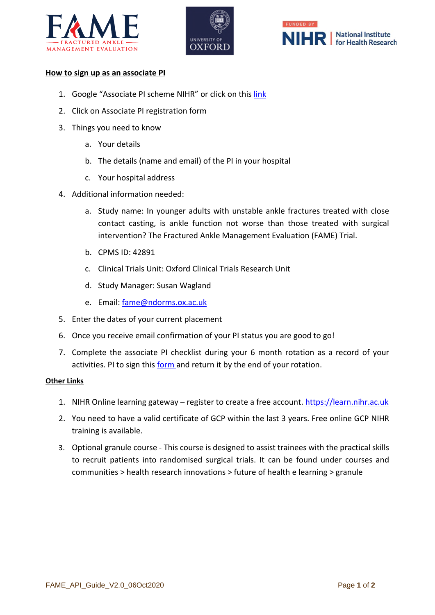





## **How to sign up as an associate PI**

- 1. Google "Associate PI scheme NIHR" or click on this link
- 2. Click on Associate PI registration form
- 3. Things you need to know
	- a. Your details
	- b. The details (name and email) of the PI in your hospital
	- c. Your hospital address
- 4. Additional information needed:
	- a. Study name: In younger adults with unstable ankle fractures treated with close contact casting, is ankle function not worse than those treated with surgical intervention? The Fractured Ankle Management Evaluation (FAME) Trial.
	- b. CPMS ID: 42891
	- c. Clinical Trials Unit: Oxford Clinical Trials Research Unit
	- d. Study Manager: Susan Wagland
	- e. Email: [fame@ndorms.ox.ac.uk](mailto:fame@ndorms.ox.ac.uk)
- 5. Enter the dates of your current placement
- 6. Once you receive email confirmation of your PI status you are good to go!
- 7. Complete the associate PI checklist during your 6 month rotation as a record of your activities. PI to sign this [form](https://docs.google.com/document/d/12GQC3qLWizrAJj4wWlZw5oc0UCYdhPvR86TcQIr0zBs/edit) and return it by the end of your rotation.

## **Other Links**

- 1. NIHR Online learning gateway register to create a free account. [https://learn.nihr.ac.uk](https://learn.nihr.ac.uk/)
- 2. You need to have a valid certificate of GCP within the last 3 years. Free online GCP NIHR training is available.
- 3. Optional granule course This course is designed to assist trainees with the practical skills to recruit patients into randomised surgical trials. It can be found under courses and communities > health research innovations > future of health e learning > granule